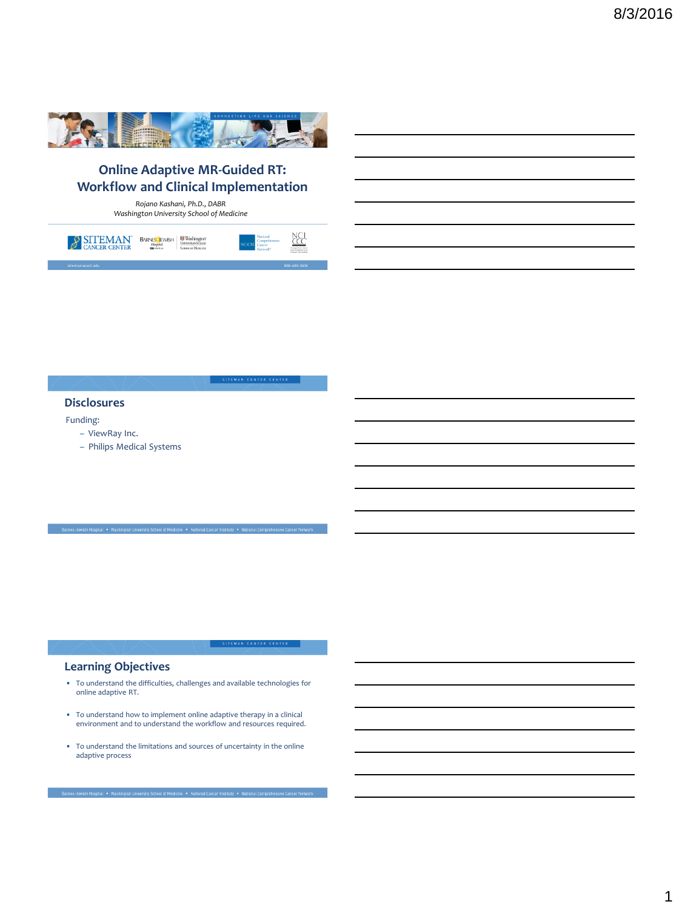

# **Online Adaptive MR-Guided RT: Workflow and Clinical Implementation**

*Rojano Kashani, Ph.D., DABR Washington University School of Medicine*



SITEMAN CANCER CENTER

#### **Disclosures**

Funding:

- ViewRay Inc.
- Philips Medical Systems

## **Learning Objectives**

- To understand the difficulties, challenges and available technologies for online adaptive RT.
- To understand how to implement online adaptive therapy in a clinical environment and to understand the workflow and resources required.
- To understand the limitations and sources of uncertainty in the online adaptive process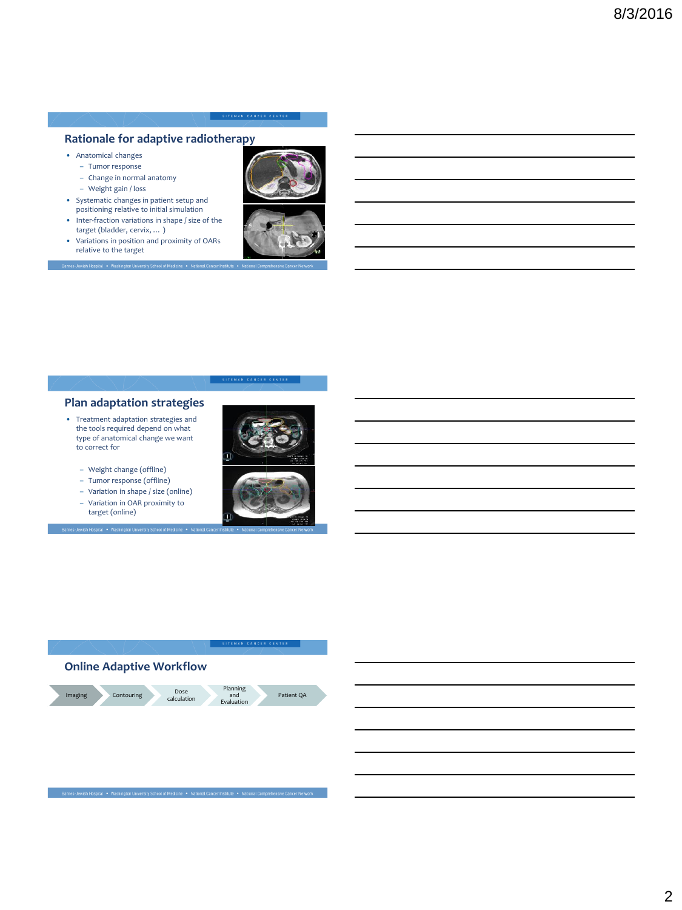### **Rationale for adaptive radiotherapy**

- Anatomical changes
	- Tumor response
	- Change in normal anatomy
	- Weight gain / loss

-<br>Barnes-Jewish Hospital • Washington

- Systematic changes in patient setup and positioning relative to initial simulation
- Inter-fraction variations in shape / size of the target (bladder, cervix, … )
- Variations in position and proximity of OARs relative to the target



## **Plan adaptation strategies**

- Treatment adaptation strategies and the tools required depend on what type of anatomical change we want to correct for
	- Weight change (offline)
	- Tumor response (offline)
	- Variation in shape / size (online)
	- Variation in OAR proximity to target (online)







es-Jewish Hospital • Washington University School of Medicine • National Cancer Institute •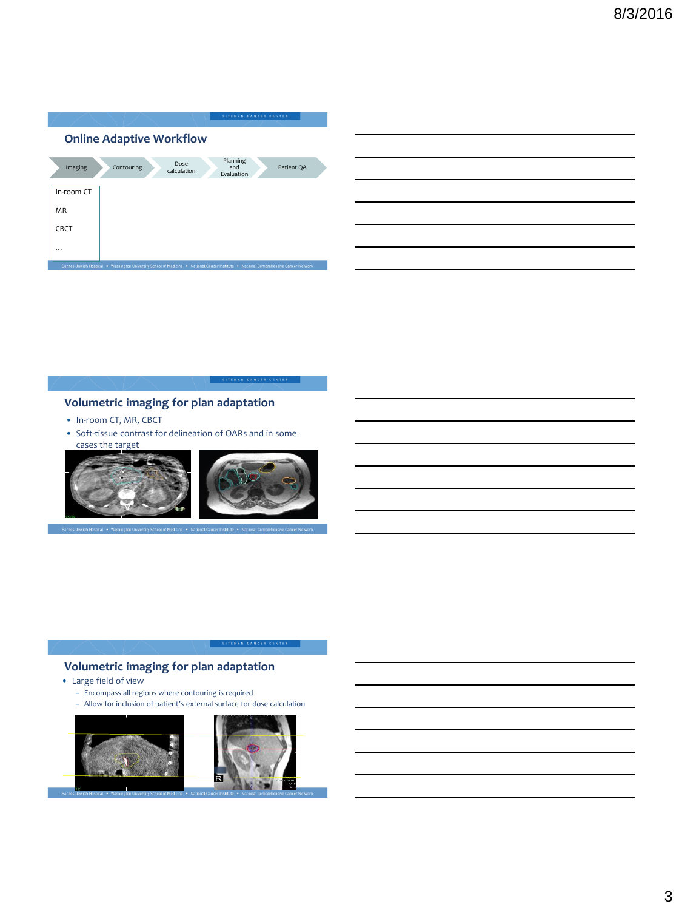| Patient QA |
|------------|
|            |
|            |
|            |
|            |
|            |
|            |
|            |

SITEMAN CANCER CENTER

# **Volumetric imaging for plan adaptation**

- In-room CT, MR, CBCT
- Soft-tissue contrast for delineation of OARs and in some cases the target



## **Volumetric imaging for plan adaptation**

- Large field of view
	- Encompass all regions where contouring is required
	- Allow for inclusion of patient's external surface for dose calculation

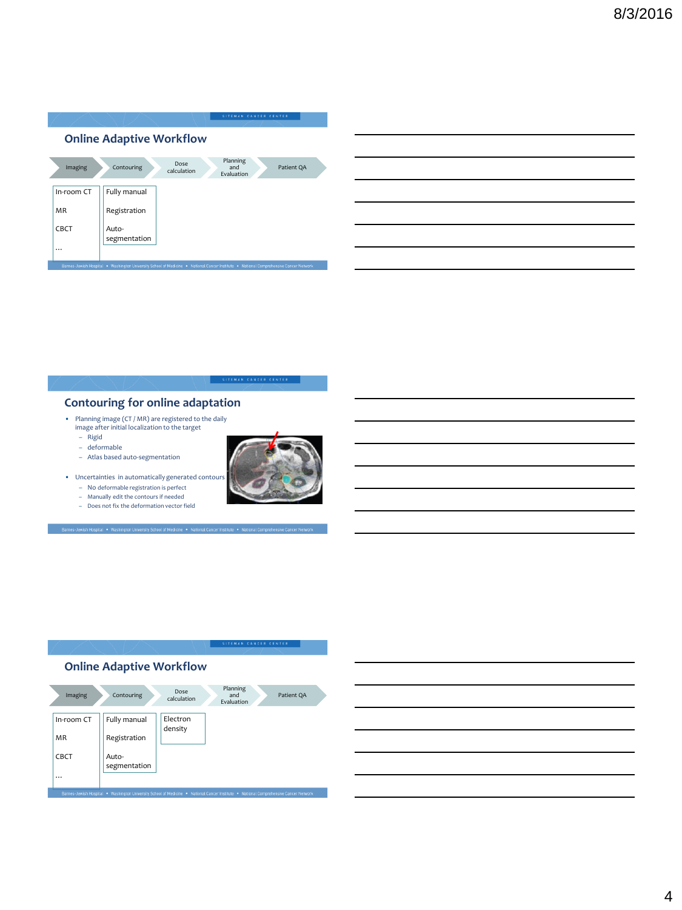|                                 | SITEMAN CANCER CENTER                                                                                                                 |  |  |  |  |  |  |
|---------------------------------|---------------------------------------------------------------------------------------------------------------------------------------|--|--|--|--|--|--|
| <b>Online Adaptive Workflow</b> |                                                                                                                                       |  |  |  |  |  |  |
| Imaging                         | Planning<br>Dose<br>Contouring<br>Patient QA<br>and<br>calculation<br>Evaluation                                                      |  |  |  |  |  |  |
| In-room CT                      | Fully manual                                                                                                                          |  |  |  |  |  |  |
| <b>MR</b>                       | Registration                                                                                                                          |  |  |  |  |  |  |
| <b>CBCT</b><br>                 | Auto-<br>segmentation                                                                                                                 |  |  |  |  |  |  |
|                                 | Barnes-Jewish Hospital . Washington University School of Medicine . National Cancer Institute . National Comprehensive Cancer Network |  |  |  |  |  |  |

## **Contouring for online adaptation**

- Planning image (CT / MR) are registered to the daily image after initial localization to the target
	- Rigid deformable
	-
	- Atlas based auto-segmentation
- Uncertainties in automatically generated contours
	- No deformable registration is perfect
	- Manually edit the contours if needed Does not fix the deformation vector field

larnes-Jewish Hospital • Washington University School of Med



SITEMAN CANCER CENTER

## **Online Adaptive Workflow**



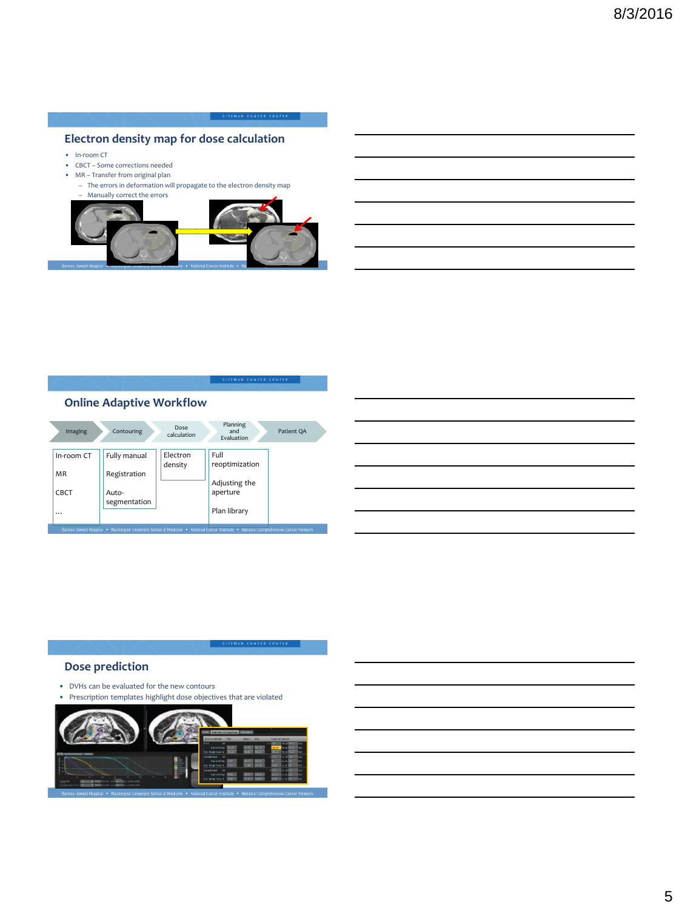## **Electron density map for dose calculation**

- In-room CT
- CBCT Some corrections needed
- MR Transfer from original plan
- The errors in deformation will propagate to the electron density map – Manually correct the errors



SITEMAN CANCER CENTER

## **Online Adaptive Workflow**

| Imaging    | Contouring   | Dose<br>calculation | Planning<br>and<br>Evaluation | Patient QA |
|------------|--------------|---------------------|-------------------------------|------------|
| In-room CT | Fully manual | Electron<br>density | Full<br>reoptimization        |            |
| <b>MR</b>  | Registration |                     |                               |            |
| CBCT       | Auto-        |                     | Adjusting the<br>aperture     |            |
|            | segmentation |                     | Plan library                  |            |
|            |              |                     |                               |            |



## **Dose prediction**

- DVHs can be evaluated for the new contours
- Prescription templates highlight dose objectives that are violated

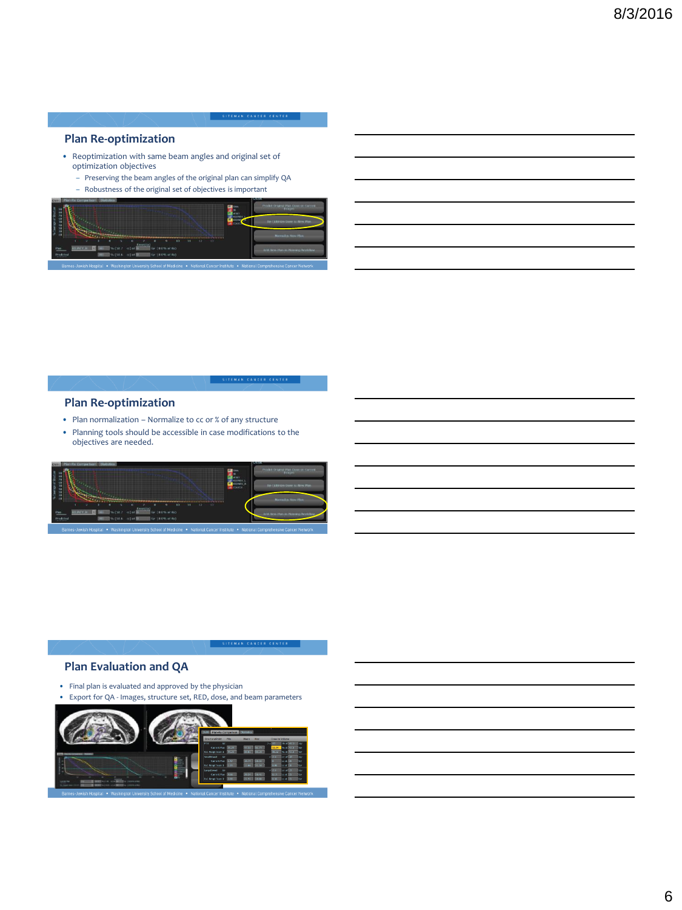### **Plan Re-optimization**

- Reoptimization with same beam angles and original set of optimization objectives
	- Preserving the beam angles of the original plan can simplify QA
	- Robustness of the original set of objectives is important



SITEMAN CANCER CENTER

### **Plan Re-optimization**

- Plan normalization Normalize to cc or % of any structure
- Planning tools should be accessible in case modifications to the objectives are needed.



### **Plan Evaluation and QA**

- Final plan is evaluated and approved by the physician
- Export for QA Images, structure set, RED, dose, and beam parameters

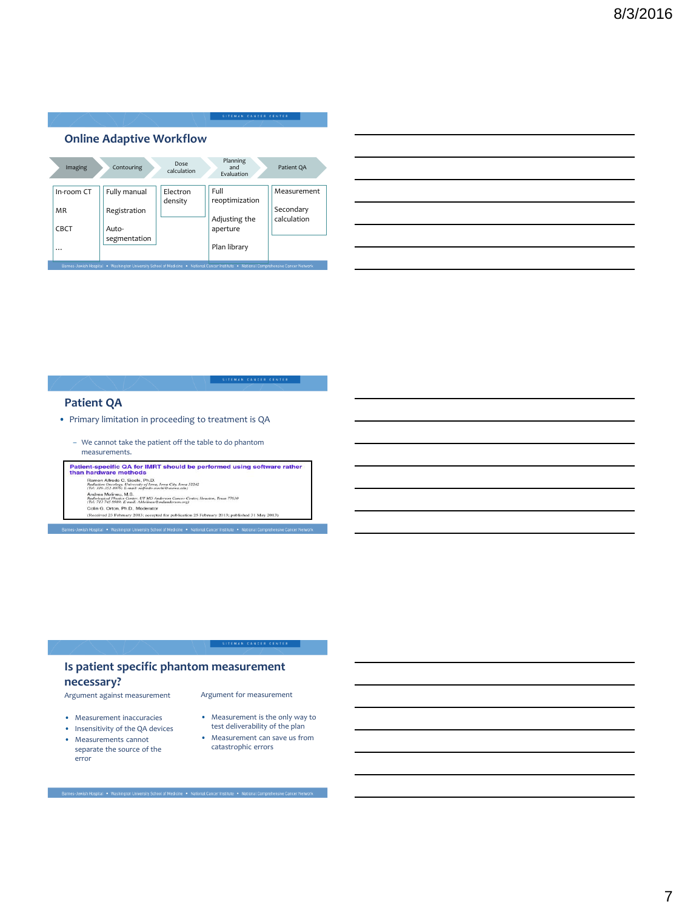| <b>Online Adaptive Workflow</b> |                       |                     |                               |                          |  |  |  |
|---------------------------------|-----------------------|---------------------|-------------------------------|--------------------------|--|--|--|
| Imaging                         | Contouring            | Dose<br>calculation | Planning<br>and<br>Evaluation | Patient QA               |  |  |  |
| In-room CT                      | Fully manual          | Electron<br>density | Full<br>reoptimization        | Measurement              |  |  |  |
| <b>MR</b>                       | Registration          |                     | Adjusting the                 | Secondary<br>calculation |  |  |  |
| <b>CBCT</b>                     | Auto-<br>segmentation |                     | aperture                      |                          |  |  |  |
|                                 |                       |                     | Plan library                  |                          |  |  |  |

## **Patient QA**

- Primary limitation in proceeding to treatment is QA
	- We cannot take the patient off the table to do phantom

 $\begin{array}{l} \vspace{-0.2cm} \textbf{The a SUSL POMC} \textbf{The BUSL POMC} \textbf{The BUSL POMC} \textbf{The BUSL POMC} \textbf{The BUSL POMC} \textbf{The BUSL POMC} \textbf{The BUSL POMC} \textbf{The BUSL POMC} \textbf{The BUSL POMC} \textbf{The BUSL POMC} \textbf{The BUSL POMC} \textbf{The BUSL POMC} \textbf{The BUSL POMC} \textbf{The BUSL POMC} \textbf{The BUSL POMC} \textbf{The BUSL POMC} \textbf{The BUSL POMC$ 

## **Is patient specific phantom measurement necessary?**

-<br>Barnes-Jewish Hospital • Washington University School of Medicine • National Cancer Institute • National Com

Argument against measurement

- Measurement inaccuracies
- Insensitivity of the QA devices
- Measurements cannot separate the source of the error
- Argument for measurement

SITEMAN CANCER CENTER

- Measurement is the only way to test deliverability of the plan
- Measurement can save us from catastrophic errors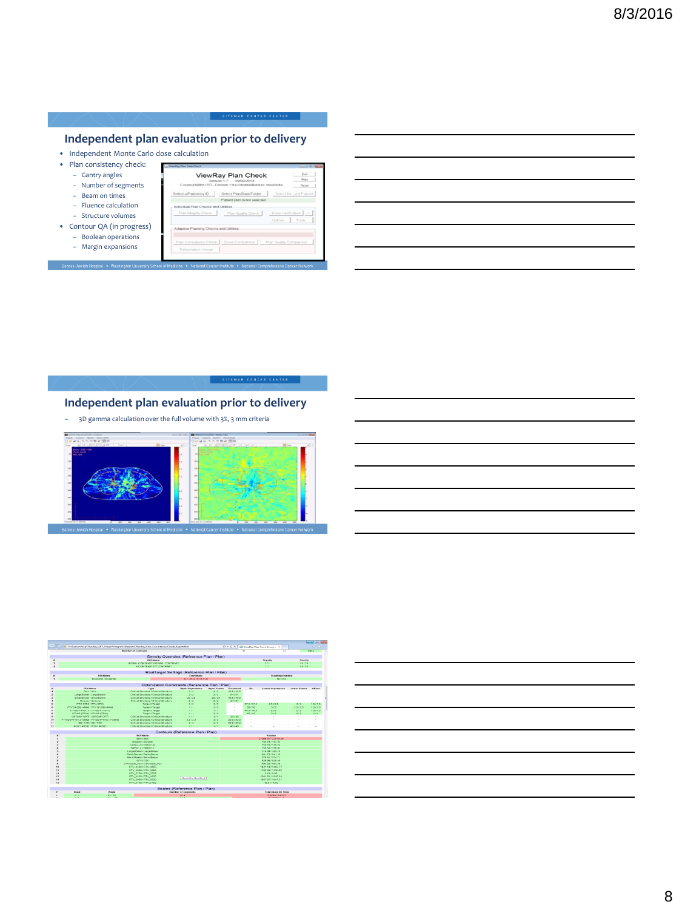## **Independent plan evaluation prior to delivery**

- Independent Monte Carlo dose calculation
- Plan consistency check: – Gantry angles ViewRay Plan Check  $_{\rm Edd}$ – Number of segments  $t by D...$  Sele – Beam on times – Fluence calculation – Structure volumes  $n \mid \infty$ • Contour QA (in progress) – Boolean operations – Margin expansions Barnes-Jewish Hospital . Washing

## **Independent plan evaluation prior to delivery**

– 3D gamma calculation over the full volume with 3%, 3 mm criteria





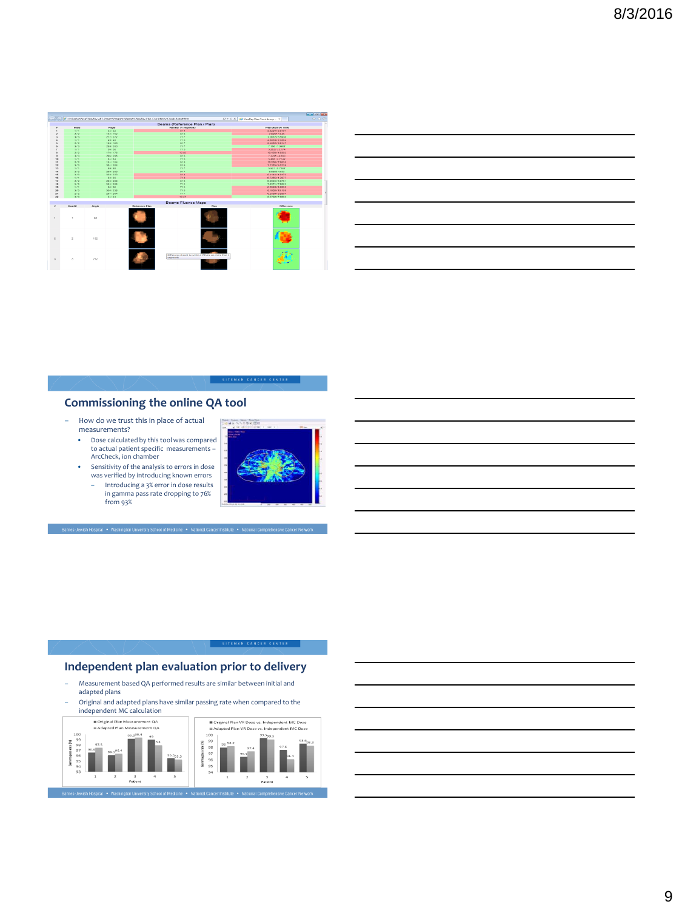|                          | Beams (Reference Plan / Plan)                          |                       |          |                          |  |
|--------------------------|--------------------------------------------------------|-----------------------|----------|--------------------------|--|
| <b>Total BeamOn Time</b> | Number of Segments                                     |                       | Angle    | Head                     |  |
| 5 8224 / 2 8197          | 0.74                                                   |                       | 32/32    | 188                      |  |
| 7.025773.45              | 8.76                                                   |                       | 1527152  | 2/2                      |  |
| 7.2672 / 6.5036          | 717                                                    |                       | 272/272  | 3/3                      |  |
| 4.885372.3364            | 775                                                    |                       | 42740    | 2.62                     |  |
| 9.495273.9147            | 9.77                                                   |                       | 1697560  | 212                      |  |
| 7.100/7.0467             | 717                                                    |                       | 2037260  | 313                      |  |
| 5.2627 / 3.174           | 7/5                                                    |                       | 55/55    | 5.75                     |  |
| 10.456 (4.9302)          | 70/5                                                   |                       | 176-/176 | 212                      |  |
| 7.2285.74.603            | 0.745                                                  |                       | 205/205  | 3/3                      |  |
| 5.46572.7142             | 775                                                    |                       | 64764    | 7.77                     |  |
| 10.206 / 7.8638          | 978                                                    |                       | 1847184  | 2/2                      |  |
| 72375/50135              | 3.74                                                   |                       | 3047304  | 3(3)                     |  |
| 5.92175.7567             | 717                                                    |                       | 95/80    | 5.75                     |  |
| 9.085578.53              | 9.77                                                   |                       | 2007200  | 212                      |  |
| 9.4144/4.8173            | 8.74                                                   |                       | 3207320  | 2(2)                     |  |
| 6.7265 (1.2977)          | 712                                                    |                       | 98/99    | 515                      |  |
| 6.9904 / 6.8761          | 0.745                                                  |                       | 208/200  | 212                      |  |
| 7.2371/7.9053            | 7/5                                                    |                       | 326/326  | 3/3                      |  |
| 6.094814.6858            | 715                                                    |                       | 05/05    | 7.67                     |  |
| 8.1905 / 10.159          | 715                                                    |                       | 336/336  | 3/3                      |  |
| 62588782854              | 7.77                                                   |                       | 2047204  | 717                      |  |
| 8.5762 / 7.8883          | 1077                                                   |                       | 24/24    | 3/3                      |  |
|                          | Beams Fluence Maps                                     |                       |          |                          |  |
| <b>Difference</b>        | Piss:                                                  | <b>Reference Plan</b> | Araphe   | <b>Hourt #1</b>          |  |
|                          |                                                        |                       | 32       | ٠                        |  |
|                          |                                                        |                       | 152      | $\overline{a}$           |  |
|                          | Difference should be within 2 if there are more than 2 | segments              | 272      | $\overline{\phantom{a}}$ |  |

| the control of the control of the control of the control of the control of the control of the control of the control of the control of the control of the control of the control of the control of the control of the control |  |  |
|-------------------------------------------------------------------------------------------------------------------------------------------------------------------------------------------------------------------------------|--|--|
|                                                                                                                                                                                                                               |  |  |
|                                                                                                                                                                                                                               |  |  |

## **Commissioning the online QA tool**

- How do we trust this in place of actual measurements?
- Dose calculated by this tool was compared to actual patient specific measurements – ArcCheck, ion chamber
- Sensitivity of the analysis to errors in dose was verified by introducing known errors
	- Introducing a 3% error in dose results in gamma pass rate dropping to 76% from 93%



SITEMAN CANCER CENTER

## **Independent plan evaluation prior to delivery**

– Measurement based QA performed results are similar between initial and adapted plans – Original and adapted plans have similar passing rate when compared to the independent MC calculation



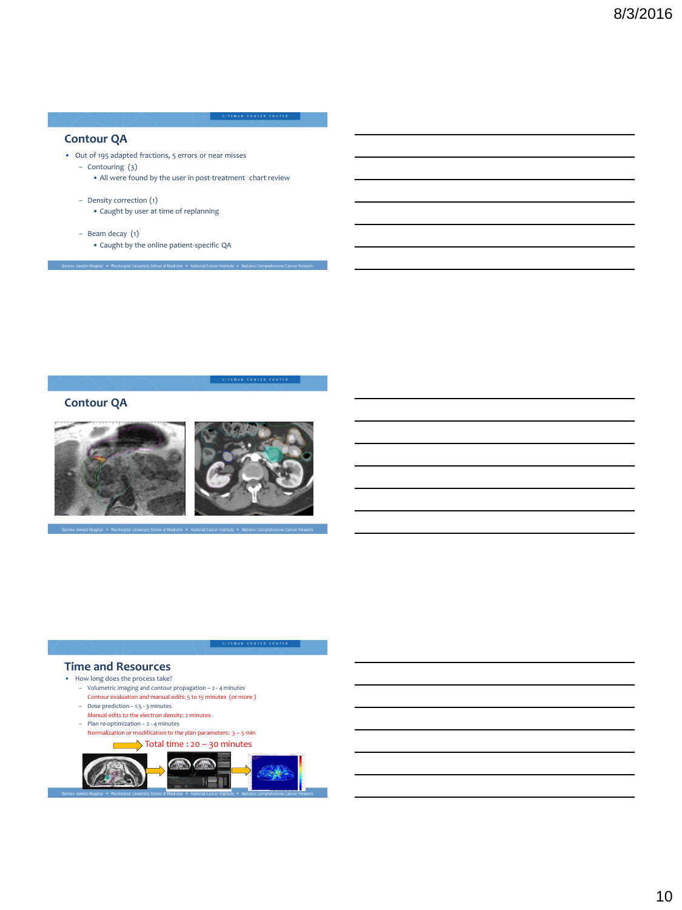### **Contour QA**

- Out of 195 adapted fractions, 5 errors or near misses
	- Contouring (3)
		- All were found by the user in post-treatment chart review
	- Density correction (1)
		- Caught by user at time of replanning
	- Beam decay (1)
		- Caught by the online patient-specific QA

Barnes-Jewish Hospital • Washington University School of Medicine • National Cancer Institute • National Comprehensive Cancer Ne

SITEMAN CANCER CENTER

## **Contour QA**



e . National Ca

#### **Time and Resources**

- How long does the process take?
	- Volumetric imaging and contour propagation 2 4 minutes
	- Contour evaluation and manual edits: 5 to 15 minutes (or more ) – Dose prediction – 1.5 - 3 minutes
	- Manual edits to the electron density: 2 minutes
	- Plan re-optimization 2 4 minutes
	- Normalization or modification to the plan parameters: 3 5 min

 $\longrightarrow$  Total time : 20 – 30 minutes  $\blacksquare$  $\sqrt{2}$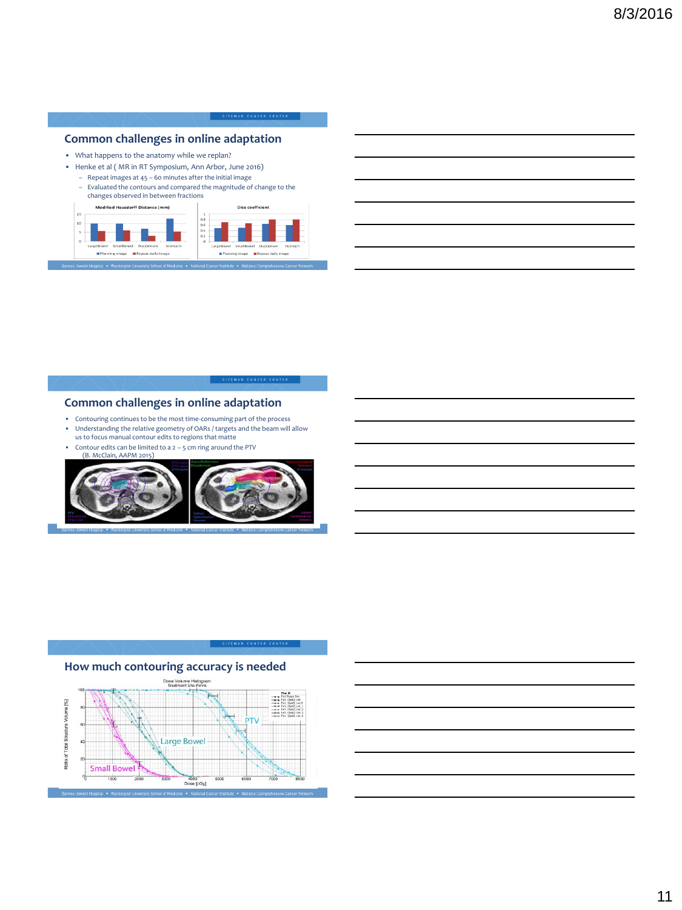## **Common challenges in online adaptation**

- What happens to the anatomy while we replan?
- Henke et al ( MR in RT Symposium, Ann Arbor, June 2016)
	- Repeat images at 45 60 minutes after the initial image
	- Evaluated the contours and compared the magnitude of change to the changes observed in between fractions



SITEMAN CANCER CENTER

### **Common challenges in online adaptation**

- Contouring continues to be the most time-consuming part of the process
- Understanding the relative geometry of OARs / targets and the beam will allow us to focus manual contour edits to regions that matte
- Contour edits can be limited to a  $2 5$  cm ring around the PTV
- (B. McClain, AAPM 2015)



## **How much contouring accuracy is needed**



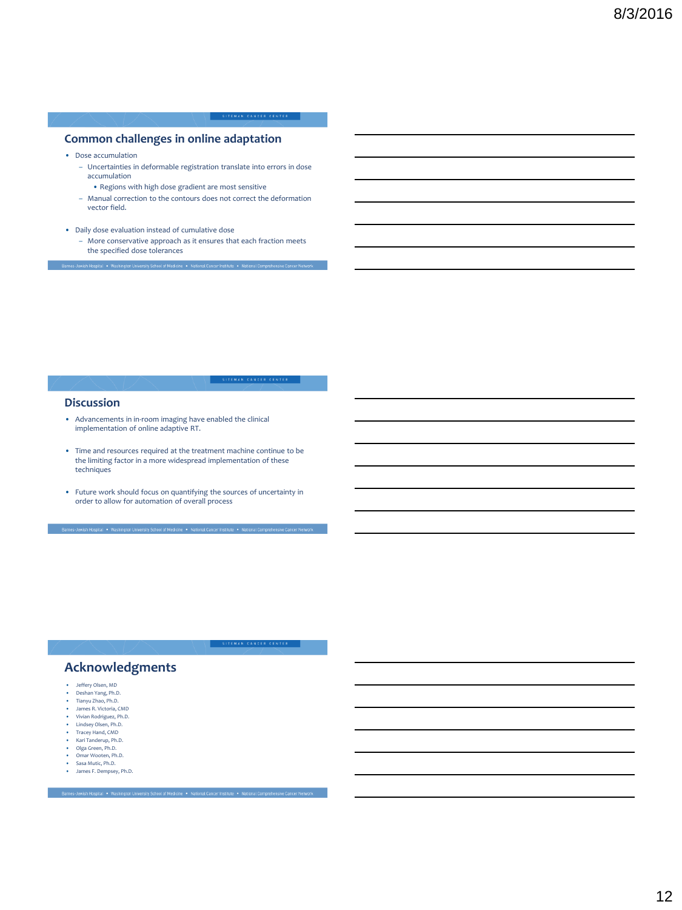### **Common challenges in online adaptation**

- Dose accumulation
	- Uncertainties in deformable registration translate into errors in dose accumulation
		- Regions with high dose gradient are most sensitive
	- Manual correction to the contours does not correct the deformation vector field.
- Daily dose evaluation instead of cumulative dose
	- More conservative approach as it ensures that each fraction meets the specified dose tolerances

#### **Discussion**

- Advancements in in-room imaging have enabled the clinical implementation of online adaptive RT.
- Time and resources required at the treatment machine continue to be the limiting factor in a more widespread implementation of these techniques
- Future work should focus on quantifying the sources of uncertainty in order to allow for automation of overall process

SITEMAN CANCER CENTER

## **Acknowledgments**

- Jeffery Olsen, MD
- Deshan Yang, Ph.D. Tianyu Zhao, Ph.D.
- James R. Victoria, CMD
- Vivian Rodriguez, Ph.D.
- Lindsey Olsen, Ph.D.
- Tracey Hand, CMD
- Kari Tanderup, Ph.D.
- Olga Green, Ph.D. Omar Wooten, Ph.D.
- 
- Sasa Mutic, Ph.D.
- James F. Dempsey, Ph.D.

.<br>Iarnes-Jewish Hospital • Washington University School of Medicine • National Cancer Institute • National Compr